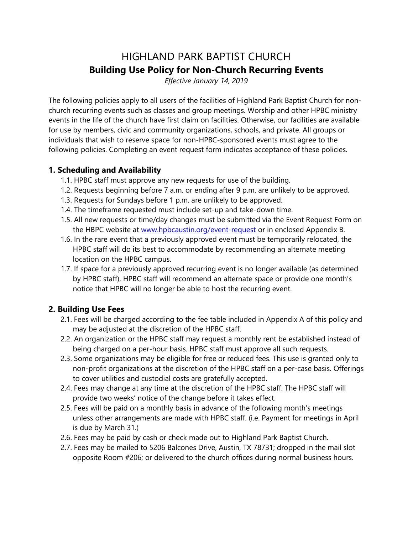# HIGHLAND PARK BAPTIST CHURCH Building Use Policy for Non-Church Recurring Events

Effective January 14, 2019

The following policies apply to all users of the facilities of Highland Park Baptist Church for nonchurch recurring events such as classes and group meetings. Worship and other HPBC ministry events in the life of the church have first claim on facilities. Otherwise, our facilities are available for use by members, civic and community organizations, schools, and private. All groups or individuals that wish to reserve space for non-HPBC-sponsored events must agree to the following policies. Completing an event request form indicates acceptance of these policies.

# 1. Scheduling and Availability

- 1.1. HPBC staff must approve any new requests for use of the building.
- 1.2. Requests beginning before 7 a.m. or ending after 9 p.m. are unlikely to be approved.
- 1.3. Requests for Sundays before 1 p.m. are unlikely to be approved.
- 1.4. The timeframe requested must include set-up and take-down time.
- 1.5. All new requests or time/day changes must be submitted via the Event Request Form on the HBPC website at www.hpbcaustin.org/event-request or in enclosed Appendix B.
- 1.6. In the rare event that a previously approved event must be temporarily relocated, the HPBC staff will do its best to accommodate by recommending an alternate meeting location on the HPBC campus.
- 1.7. If space for a previously approved recurring event is no longer available (as determined by HPBC staff), HPBC staff will recommend an alternate space or provide one month's notice that HPBC will no longer be able to host the recurring event.

# 2. Building Use Fees

- 2.1. Fees will be charged according to the fee table included in Appendix A of this policy and may be adjusted at the discretion of the HPBC staff.
- 2.2. An organization or the HPBC staff may request a monthly rent be established instead of being charged on a per-hour basis. HPBC staff must approve all such requests.
- 2.3. Some organizations may be eligible for free or reduced fees. This use is granted only to non-profit organizations at the discretion of the HPBC staff on a per-case basis. Offerings to cover utilities and custodial costs are gratefully accepted.
- 2.4. Fees may change at any time at the discretion of the HPBC staff. The HPBC staff will provide two weeks' notice of the change before it takes effect.
- 2.5. Fees will be paid on a monthly basis in advance of the following month's meetings unless other arrangements are made with HPBC staff. (i.e. Payment for meetings in April is due by March 31.)
- 2.6. Fees may be paid by cash or check made out to Highland Park Baptist Church.
- 2.7. Fees may be mailed to 5206 Balcones Drive, Austin, TX 78731; dropped in the mail slot opposite Room #206; or delivered to the church offices during normal business hours.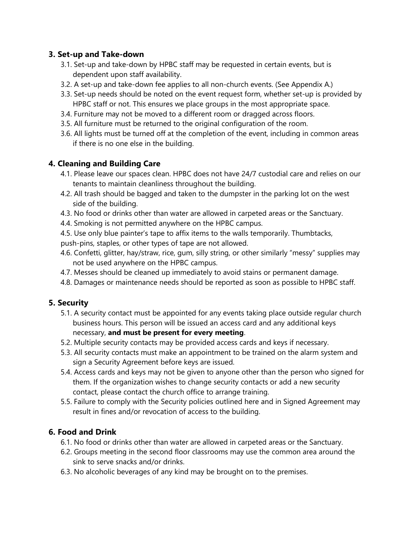## 3. Set-up and Take-down

- 3.1. Set-up and take-down by HPBC staff may be requested in certain events, but is dependent upon staff availability.
- 3.2. A set-up and take-down fee applies to all non-church events. (See Appendix A.)
- 3.3. Set-up needs should be noted on the event request form, whether set-up is provided by HPBC staff or not. This ensures we place groups in the most appropriate space.
- 3.4. Furniture may not be moved to a different room or dragged across floors.
- 3.5. All furniture must be returned to the original configuration of the room.
- 3.6. All lights must be turned off at the completion of the event, including in common areas if there is no one else in the building.

# 4. Cleaning and Building Care

- 4.1. Please leave our spaces clean. HPBC does not have 24/7 custodial care and relies on our tenants to maintain cleanliness throughout the building.
- 4.2. All trash should be bagged and taken to the dumpster in the parking lot on the west side of the building.
- 4.3. No food or drinks other than water are allowed in carpeted areas or the Sanctuary.
- 4.4. Smoking is not permitted anywhere on the HPBC campus.
- 4.5. Use only blue painter's tape to affix items to the walls temporarily. Thumbtacks,
- push-pins, staples, or other types of tape are not allowed.
- 4.6. Confetti, glitter, hay/straw, rice, gum, silly string, or other similarly "messy" supplies may not be used anywhere on the HPBC campus.
- 4.7. Messes should be cleaned up immediately to avoid stains or permanent damage.
- 4.8. Damages or maintenance needs should be reported as soon as possible to HPBC staff.

## 5. Security

- 5.1. A security contact must be appointed for any events taking place outside regular church business hours. This person will be issued an access card and any additional keys necessary, and must be present for every meeting.
- 5.2. Multiple security contacts may be provided access cards and keys if necessary.
- 5.3. All security contacts must make an appointment to be trained on the alarm system and sign a Security Agreement before keys are issued.
- 5.4. Access cards and keys may not be given to anyone other than the person who signed for them. If the organization wishes to change security contacts or add a new security contact, please contact the church office to arrange training.
- 5.5. Failure to comply with the Security policies outlined here and in Signed Agreement may result in fines and/or revocation of access to the building.

# 6. Food and Drink

- 6.1. No food or drinks other than water are allowed in carpeted areas or the Sanctuary.
- 6.2. Groups meeting in the second floor classrooms may use the common area around the sink to serve snacks and/or drinks.
- 6.3. No alcoholic beverages of any kind may be brought on to the premises.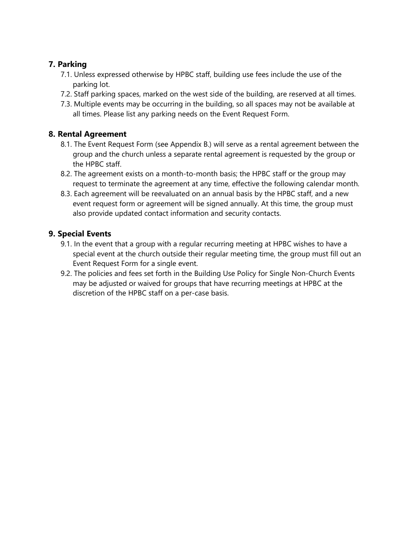# 7. Parking

- 7.1. Unless expressed otherwise by HPBC staff, building use fees include the use of the parking lot.
- 7.2. Staff parking spaces, marked on the west side of the building, are reserved at all times.
- 7.3. Multiple events may be occurring in the building, so all spaces may not be available at all times. Please list any parking needs on the Event Request Form.

## 8. Rental Agreement

- 8.1. The Event Request Form (see Appendix B.) will serve as a rental agreement between the group and the church unless a separate rental agreement is requested by the group or the HPBC staff.
- 8.2. The agreement exists on a month-to-month basis; the HPBC staff or the group may request to terminate the agreement at any time, effective the following calendar month.
- 8.3. Each agreement will be reevaluated on an annual basis by the HPBC staff, and a new event request form or agreement will be signed annually. At this time, the group must also provide updated contact information and security contacts.

## 9. Special Events

- 9.1. In the event that a group with a regular recurring meeting at HPBC wishes to have a special event at the church outside their regular meeting time, the group must fill out an Event Request Form for a single event.
- 9.2. The policies and fees set forth in the Building Use Policy for Single Non-Church Events may be adjusted or waived for groups that have recurring meetings at HPBC at the discretion of the HPBC staff on a per-case basis.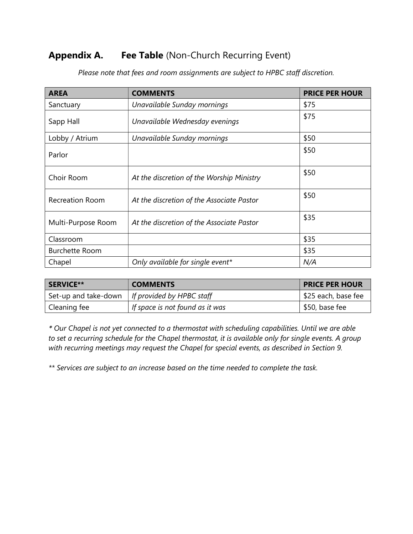# Appendix A. Fee Table (Non-Church Recurring Event)

| <b>AREA</b>           | <b>COMMENTS</b>                           | <b>PRICE PER HOUR</b> |  |
|-----------------------|-------------------------------------------|-----------------------|--|
| Sanctuary             | Unavailable Sunday mornings               | \$75                  |  |
| Sapp Hall             | Unavailable Wednesday evenings            | \$75                  |  |
| Lobby / Atrium        | Unavailable Sunday mornings               | \$50                  |  |
| Parlor                |                                           | \$50                  |  |
| Choir Room            | At the discretion of the Worship Ministry | \$50                  |  |
| Recreation Room       | At the discretion of the Associate Pastor | \$50                  |  |
| Multi-Purpose Room    | At the discretion of the Associate Pastor |                       |  |
| Classroom             |                                           | \$35                  |  |
| <b>Burchette Room</b> |                                           | \$35                  |  |
| Chapel                | Only available for single event*          | N/A                   |  |

Please note that fees and room assignments are subject to HPBC staff discretion.

| <b>SERVICE**</b> | <b>COMMENTS</b>                                  | <b>PRICE PER HOUR</b> |
|------------------|--------------------------------------------------|-----------------------|
|                  | Set-up and take-down   If provided by HPBC staff | \$25 each, base fee   |
| Cleaning fee     | If space is not found as it was                  | \$50, base fee        |

\* Our Chapel is not yet connected to a thermostat with scheduling capabilities. Until we are able to set a recurring schedule for the Chapel thermostat, it is available only for single events. A group with recurring meetings may request the Chapel for special events, as described in Section 9.

\*\* Services are subject to an increase based on the time needed to complete the task.